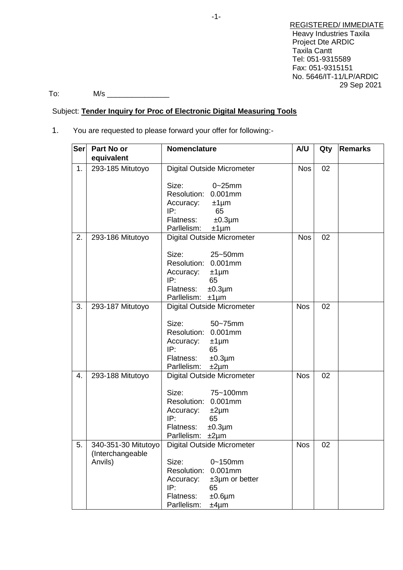REGISTERED/ IMMEDIATE Heavy Industries Taxila Project Dte ARDIC Taxila Cantt Tel: 051-9315589 Fax: 051-9315151 No. 5646/IT-11/LP/ARDIC 29 Sep 2021

To: M/s \_\_\_\_\_\_\_\_\_\_\_\_\_\_\_

# Subject: **Tender Inquiry for Proc of Electronic Digital Measuring Tools**

1. You are requested to please forward your offer for following:-

| Ser | Part No or          | Nomenclature                                | A/U        | Qty | <b>Remarks</b> |
|-----|---------------------|---------------------------------------------|------------|-----|----------------|
|     | equivalent          |                                             |            |     |                |
| 1.  | 293-185 Mitutoyo    | <b>Digital Outside Micrometer</b>           | <b>Nos</b> | 02  |                |
|     |                     |                                             |            |     |                |
|     |                     | Size:<br>$0 - 25$ mm<br>Resolution: 0.001mm |            |     |                |
|     |                     |                                             |            |     |                |
|     |                     | Accuracy:<br>$±1 \mu m$<br>IP:<br>65        |            |     |                |
|     |                     | Flatness:<br>$±0.3 \mu m$                   |            |     |                |
|     |                     | Parllelism:<br>$±1 \mu m$                   |            |     |                |
| 2.  | 293-186 Mitutoyo    | <b>Digital Outside Micrometer</b>           | <b>Nos</b> | 02  |                |
|     |                     |                                             |            |     |                |
|     |                     | Size:<br>25~50mm                            |            |     |                |
|     |                     | Resolution: 0.001mm                         |            |     |                |
|     |                     | Accuracy:<br>$±1 \mu m$                     |            |     |                |
|     |                     | IP:<br>65                                   |            |     |                |
|     |                     | Flatness:<br>$±0.3 \mu m$                   |            |     |                |
|     |                     | Parllelism:<br>$±1 \mu m$                   |            |     |                |
| 3.  | 293-187 Mitutoyo    | <b>Digital Outside Micrometer</b>           | <b>Nos</b> | 02  |                |
|     |                     | 50~75mm<br>Size:                            |            |     |                |
|     |                     | Resolution: 0.001mm                         |            |     |                |
|     |                     | Accuracy:                                   |            |     |                |
|     |                     | $±1 \mu m$<br>IP:<br>65                     |            |     |                |
|     |                     | Flatness:<br>$±0.3 \mu m$                   |            |     |                |
|     |                     | Parllelism:<br>$±2 \mu m$                   |            |     |                |
| 4.  | 293-188 Mitutoyo    | <b>Digital Outside Micrometer</b>           | <b>Nos</b> | 02  |                |
|     |                     |                                             |            |     |                |
|     |                     | 75~100mm<br>Size:                           |            |     |                |
|     |                     | Resolution: 0.001mm                         |            |     |                |
|     |                     | Accuracy:<br>$±2 \mu m$                     |            |     |                |
|     |                     | IP:<br>65                                   |            |     |                |
|     |                     | Flatness:<br>$±0.3 \mu m$                   |            |     |                |
|     |                     | Parllelism:<br>$±2 \mu m$                   |            |     |                |
| 5.  | 340-351-30 Mitutoyo | <b>Digital Outside Micrometer</b>           | <b>Nos</b> | 02  |                |
|     | (Interchangeable    |                                             |            |     |                |
|     | Anvils)             | Size:<br>$0 - 150$ mm                       |            |     |                |
|     |                     | Resolution:<br>$0.001$ mm                   |            |     |                |
|     |                     | $±3µm$ or better<br>Accuracy:               |            |     |                |
|     |                     | IP:<br>65                                   |            |     |                |
|     |                     | Flatness:<br>$±0.6 \mu m$                   |            |     |                |
|     |                     | Parllelism:<br>$±4 \mu m$                   |            |     |                |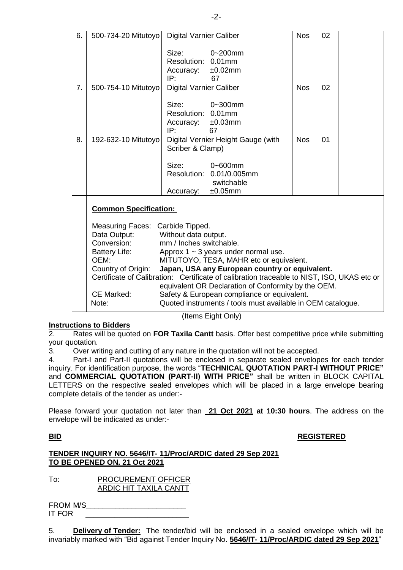| 500-734-20 Mitutoyo<br><b>Digital Varnier Caliber</b><br>Size:<br>$0 - 200$ mm<br>Resolution: 0.01mm<br>Accuracy: ±0.02mm<br>IP:<br>67<br><b>Digital Varnier Caliber</b><br>7.<br><b>Nos</b><br>02<br>500-754-10 Mitutoyo<br>Size:<br>$0 - 300$ mm |  |  |
|----------------------------------------------------------------------------------------------------------------------------------------------------------------------------------------------------------------------------------------------------|--|--|
|                                                                                                                                                                                                                                                    |  |  |
|                                                                                                                                                                                                                                                    |  |  |
|                                                                                                                                                                                                                                                    |  |  |
|                                                                                                                                                                                                                                                    |  |  |
|                                                                                                                                                                                                                                                    |  |  |
|                                                                                                                                                                                                                                                    |  |  |
|                                                                                                                                                                                                                                                    |  |  |
| Resolution: 0.01mm                                                                                                                                                                                                                                 |  |  |
| ±0.03mm<br>Accuracy:                                                                                                                                                                                                                               |  |  |
| IP:<br>67                                                                                                                                                                                                                                          |  |  |
| 8.<br>Digital Vernier Height Gauge (with<br><b>Nos</b><br>01<br>192-632-10 Mitutoyo                                                                                                                                                                |  |  |
| Scriber & Clamp)                                                                                                                                                                                                                                   |  |  |
|                                                                                                                                                                                                                                                    |  |  |
| Size:<br>$0 - 600$ mm                                                                                                                                                                                                                              |  |  |
| Resolution: 0.01/0.005mm                                                                                                                                                                                                                           |  |  |
| switchable                                                                                                                                                                                                                                         |  |  |
| ±0.05mm<br>Accuracy:                                                                                                                                                                                                                               |  |  |
| <b>Common Specification:</b>                                                                                                                                                                                                                       |  |  |
|                                                                                                                                                                                                                                                    |  |  |
| Measuring Faces: Carbide Tipped.                                                                                                                                                                                                                   |  |  |
| Data Output:<br>Without data output.                                                                                                                                                                                                               |  |  |
| Conversion:<br>mm / Inches switchable.                                                                                                                                                                                                             |  |  |
| Approx $1 \sim 3$ years under normal use.<br><b>Battery Life:</b>                                                                                                                                                                                  |  |  |
| OEM:<br>MITUTOYO, TESA, MAHR etc or equivalent.                                                                                                                                                                                                    |  |  |
| Country of Origin:<br>Japan, USA any European country or equivalent.                                                                                                                                                                               |  |  |
| Certificate of Calibration: Certificate of calibration traceable to NIST, ISO, UKAS etc or                                                                                                                                                         |  |  |
| equivalent OR Declaration of Conformity by the OEM.                                                                                                                                                                                                |  |  |
| CE Marked:<br>Safety & European compliance or equivalent.                                                                                                                                                                                          |  |  |
| Quoted instruments / tools must available in OEM catalogue.<br>Note:                                                                                                                                                                               |  |  |

(Items Eight Only)

2. Rates will be quoted on **FOR Taxila Cantt** basis. Offer best competitive price while submitting your quotation.

3. Over writing and cutting of any nature in the quotation will not be accepted.

4. Part-I and Part-II quotations will be enclosed in separate sealed envelopes for each tender inquiry. For identification purpose, the words "**TECHNICAL QUOTATION PART-I WITHOUT PRICE"** and **COMMERCIAL QUOTATION (PART-II) WITH PRICE"** shall be written in BLOCK CAPITAL LETTERS on the respective sealed envelopes which will be placed in a large envelope bearing complete details of the tender as under:-

Please forward your quotation not later than **21 Oct 2021 at 10:30 hours**. The address on the envelope will be indicated as under:-

## **BID REGISTERED**

## **TENDER INQUIRY NO. 5646/IT- 11/Proc/ARDIC dated 29 Sep 2021 TO BE OPENED ON. 21 Oct 2021**

**Instructions to Bidders**

To: PROCUREMENT OFFICER ARDIC HIT TAXILA CANTT

| FROM M/S |  |
|----------|--|
| IT FOR   |  |

5. **Delivery of Tender:** The tender/bid will be enclosed in a sealed envelope which will be invariably marked with "Bid against Tender Inquiry No. **5646/IT- 11/Proc/ARDIC dated 29 Sep 2021**"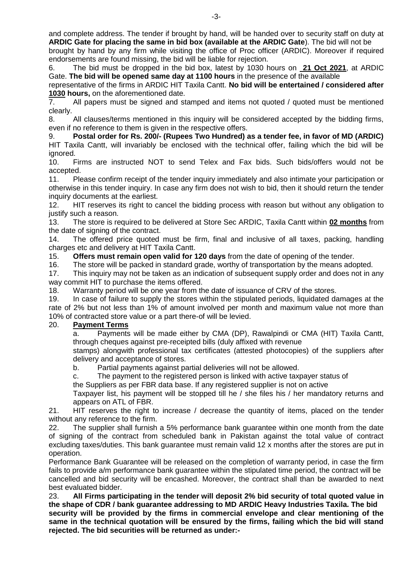and complete address. The tender if brought by hand, will be handed over to security staff on duty at **ARDIC Gate for placing the same in bid box (available at the ARDIC Gate**). The bid will not be

brought by hand by any firm while visiting the office of Proc officer (ARDIC). Moreover if required endorsements are found missing, the bid will be liable for rejection. 6. The bid must be dropped in the bid box, latest by 1030 hours on **21 Oct 2021**, at ARDIC

Gate. **The bid will be opened same day at 1100 hours** in the presence of the available

representative of the firms in ARDIC HIT Taxila Cantt. **No bid will be entertained / considered after 1030 hours,** on the aforementioned date.<br> **7.** All papers must be signed and st

All papers must be signed and stamped and items not quoted / quoted must be mentioned clearly.

8. All clauses/terms mentioned in this inquiry will be considered accepted by the bidding firms, even if no reference to them is given in the respective offers.

9. **Postal order for Rs. 200/- (Rupees Two Hundred) as a tender fee, in favor of MD (ARDIC)** HIT Taxila Cantt, will invariably be enclosed with the technical offer, failing which the bid will be ignored.

10. Firms are instructed NOT to send Telex and Fax bids. Such bids/offers would not be accepted.

11. Please confirm receipt of the tender inquiry immediately and also intimate your participation or otherwise in this tender inquiry. In case any firm does not wish to bid, then it should return the tender inquiry documents at the earliest.

12. HIT reserves its right to cancel the bidding process with reason but without any obligation to justify such a reason.

13. The store is required to be delivered at Store Sec ARDIC, Taxila Cantt within **02 months** from the date of signing of the contract.

14. The offered price quoted must be firm, final and inclusive of all taxes, packing, handling charges etc and delivery at HIT Taxila Cantt.

15. **Offers must remain open valid for 120 days** from the date of opening of the tender.

16. The store will be packed in standard grade, worthy of transportation by the means adopted.

17. This inquiry may not be taken as an indication of subsequent supply order and does not in any way commit HIT to purchase the items offered.

18. Warranty period will be one year from the date of issuance of CRV of the stores.

19. In case of failure to supply the stores within the stipulated periods, liquidated damages at the rate of 2% but not less than 1% of amount involved per month and maximum value not more than 10% of contracted store value or a part there-of will be levied.

#### 20. **Payment Terms**

a. Payments will be made either by CMA (DP), Rawalpindi or CMA (HIT) Taxila Cantt, through cheques against pre-receipted bills (duly affixed with revenue

stamps) alongwith professional tax certificates (attested photocopies) of the suppliers after delivery and acceptance of stores.

b. Partial payments against partial deliveries will not be allowed.

c. The payment to the registered person is linked with active taxpayer status of

the Suppliers as per FBR data base. If any registered supplier is not on active

Taxpayer list, his payment will be stopped till he / she files his / her mandatory returns and appears on ATL of FBR.

21. HIT reserves the right to increase / decrease the quantity of items, placed on the tender without any reference to the firm.

22. The supplier shall furnish a 5% performance bank guarantee within one month from the date of signing of the contract from scheduled bank in Pakistan against the total value of contract excluding taxes/duties. This bank guarantee must remain valid 12 x months after the stores are put in operation.

Performance Bank Guarantee will be released on the completion of warranty period, in case the firm fails to provide a/m performance bank guarantee within the stipulated time period, the contract will be cancelled and bid security will be encashed. Moreover, the contract shall than be awarded to next best evaluated bidder.

23. **All Firms participating in the tender will deposit 2% bid security of total quoted value in the shape of CDR / bank guarantee addressing to MD ARDIC Heavy Industries Taxila. The bid security will be provided by the firms in commercial envelope and clear mentioning of the same in the technical quotation will be ensured by the firms, failing which the bid will stand rejected. The bid securities will be returned as under:-**